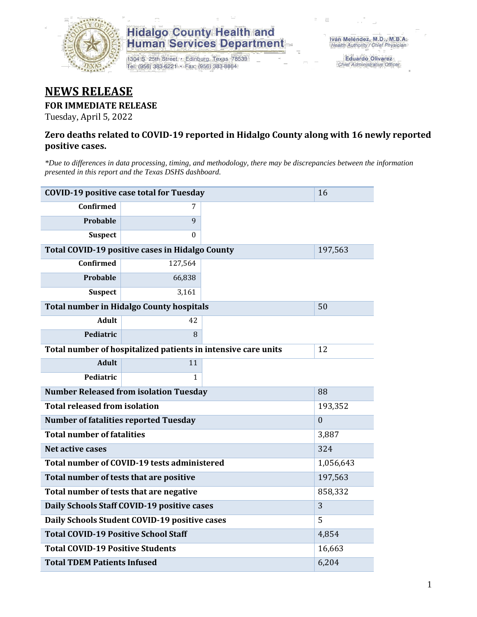

## **Hidalgo County Health and<br>Human Services Department**

1304 S. 25th Street · Edinburg, Texas 78539 Tel: (956) 383-6221 · Fax: (956) 383-8864

Eduardo Olivarez Chief Administrative Officer

## **NEWS RELEASE**

#### **FOR IMMEDIATE RELEASE**

Tuesday, April 5, 2022

#### **Zero deaths related to COVID-19 reported in Hidalgo County along with 16 newly reported positive cases.**

*\*Due to differences in data processing, timing, and methodology, there may be discrepancies between the information presented in this report and the Texas DSHS dashboard.*

| <b>COVID-19 positive case total for Tuesday</b>               | 16           |         |  |
|---------------------------------------------------------------|--------------|---------|--|
| <b>Confirmed</b>                                              | 7            |         |  |
| Probable                                                      | 9            |         |  |
| <b>Suspect</b>                                                | 0            |         |  |
| <b>Total COVID-19 positive cases in Hidalgo County</b>        |              | 197,563 |  |
| <b>Confirmed</b>                                              | 127,564      |         |  |
| Probable                                                      | 66,838       |         |  |
| <b>Suspect</b>                                                | 3,161        |         |  |
| <b>Total number in Hidalgo County hospitals</b>               |              | 50      |  |
| <b>Adult</b>                                                  | 42           |         |  |
| Pediatric                                                     | 8            |         |  |
| Total number of hospitalized patients in intensive care units | 12           |         |  |
| <b>Adult</b>                                                  | 11           |         |  |
| Pediatric                                                     | 1            |         |  |
| <b>Number Released from isolation Tuesday</b>                 | 88           |         |  |
| <b>Total released from isolation</b>                          | 193,352      |         |  |
| <b>Number of fatalities reported Tuesday</b>                  | $\mathbf{0}$ |         |  |
| <b>Total number of fatalities</b>                             | 3,887        |         |  |
| <b>Net active cases</b>                                       | 324          |         |  |
| Total number of COVID-19 tests administered                   | 1,056,643    |         |  |
| Total number of tests that are positive                       | 197,563      |         |  |
| Total number of tests that are negative                       | 858,332      |         |  |
| Daily Schools Staff COVID-19 positive cases                   | 3            |         |  |
| Daily Schools Student COVID-19 positive cases                 | 5            |         |  |
| <b>Total COVID-19 Positive School Staff</b>                   | 4,854        |         |  |
| <b>Total COVID-19 Positive Students</b>                       | 16,663       |         |  |
| <b>Total TDEM Patients Infused</b>                            | 6,204        |         |  |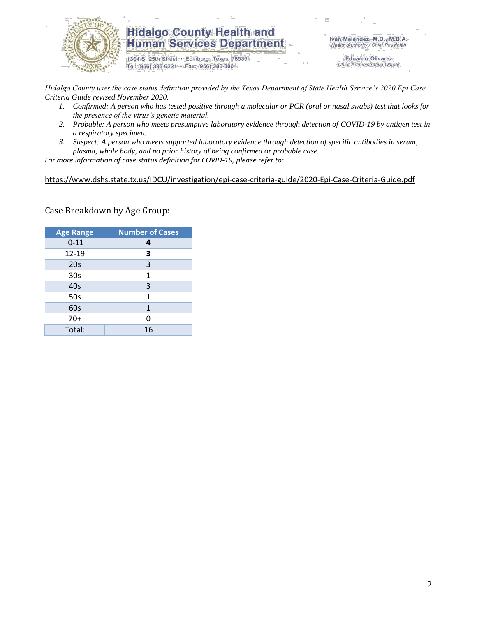

### **Hidalgo County Health and Human Services Department**

1304 S. 25th Street · Edinburg, Texas 78539 Tel: (956) 383-6221 · Fax: (956) 383-8864

Iván Meléndez, M.D., M.B.A. Health Authority / Chief Physician

> **Eduardo Olivarez** Chief Administrative Officer

*Hidalgo County uses the case status definition provided by the Texas Department of State Health Service's 2020 Epi Case Criteria Guide revised November 2020.*

- *1. Confirmed: A person who has tested positive through a molecular or PCR (oral or nasal swabs) test that looks for the presence of the virus's genetic material.*
- *2. Probable: A person who meets presumptive laboratory evidence through detection of COVID-19 by antigen test in a respiratory specimen.*
- *3. Suspect: A person who meets supported laboratory evidence through detection of specific antibodies in serum, plasma, whole body, and no prior history of being confirmed or probable case.*

*For more information of case status definition for COVID-19, please refer to:*

<https://www.dshs.state.tx.us/IDCU/investigation/epi-case-criteria-guide/2020-Epi-Case-Criteria-Guide.pdf>

Case Breakdown by Age Group:

| <b>Age Range</b> | <b>Number of Cases</b> |  |  |  |
|------------------|------------------------|--|--|--|
| $0 - 11$         | 4                      |  |  |  |
| 12-19            | 3                      |  |  |  |
| 20s              | 3                      |  |  |  |
| 30 <sub>s</sub>  | 1                      |  |  |  |
| 40s              | 3                      |  |  |  |
| 50s              | $\mathbf{1}$           |  |  |  |
| 60s              | 1                      |  |  |  |
| $70+$            | 0                      |  |  |  |
| Total:           | 16                     |  |  |  |